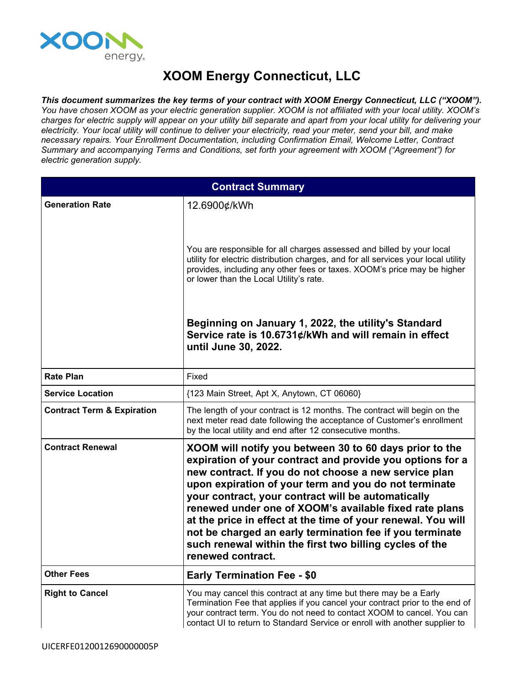

## **XOOM Energy Connecticut, LLC**

*This document summarizes the key terms of your contract with XOOM Energy Connecticut, LLC ("XOOM").* You have chosen XOOM as your electric generation supplier. XOOM is not affiliated with your local utility. XOOM's charges for electric supply will appear on your utility bill separate and apart from your local utility for delivering your electricity. Your local utility will continue to deliver your electricity, read your meter, send your bill, and make *necessary repairs. Your Enrollment Documentation, including Confirmation Email, Welcome Letter, Contract Summary and accompanying Terms and Conditions, set forth your agreement with XOOM ("Agreement") for electric generation supply.*

| <b>Contract Summary</b>               |                                                                                                                                                                                                                                                                                                                                                                                                                                                                                                                                                                    |
|---------------------------------------|--------------------------------------------------------------------------------------------------------------------------------------------------------------------------------------------------------------------------------------------------------------------------------------------------------------------------------------------------------------------------------------------------------------------------------------------------------------------------------------------------------------------------------------------------------------------|
| <b>Generation Rate</b>                | 12.6900¢/kWh                                                                                                                                                                                                                                                                                                                                                                                                                                                                                                                                                       |
|                                       | You are responsible for all charges assessed and billed by your local<br>utility for electric distribution charges, and for all services your local utility<br>provides, including any other fees or taxes. XOOM's price may be higher<br>or lower than the Local Utility's rate.                                                                                                                                                                                                                                                                                  |
|                                       | Beginning on January 1, 2022, the utility's Standard<br>Service rate is 10.6731¢/kWh and will remain in effect<br>until June 30, 2022.                                                                                                                                                                                                                                                                                                                                                                                                                             |
| <b>Rate Plan</b>                      | Fixed                                                                                                                                                                                                                                                                                                                                                                                                                                                                                                                                                              |
| <b>Service Location</b>               | {123 Main Street, Apt X, Anytown, CT 06060}                                                                                                                                                                                                                                                                                                                                                                                                                                                                                                                        |
| <b>Contract Term &amp; Expiration</b> | The length of your contract is 12 months. The contract will begin on the<br>next meter read date following the acceptance of Customer's enrollment<br>by the local utility and end after 12 consecutive months.                                                                                                                                                                                                                                                                                                                                                    |
| <b>Contract Renewal</b>               | XOOM will notify you between 30 to 60 days prior to the<br>expiration of your contract and provide you options for a<br>new contract. If you do not choose a new service plan<br>upon expiration of your term and you do not terminate<br>your contract, your contract will be automatically<br>renewed under one of XOOM's available fixed rate plans<br>at the price in effect at the time of your renewal. You will<br>not be charged an early termination fee if you terminate<br>such renewal within the first two billing cycles of the<br>renewed contract. |
| <b>Other Fees</b>                     | <b>Early Termination Fee - \$0</b>                                                                                                                                                                                                                                                                                                                                                                                                                                                                                                                                 |
| <b>Right to Cancel</b>                | You may cancel this contract at any time but there may be a Early<br>Termination Fee that applies if you cancel your contract prior to the end of<br>your contract term. You do not need to contact XOOM to cancel. You can<br>contact UI to return to Standard Service or enroll with another supplier to                                                                                                                                                                                                                                                         |